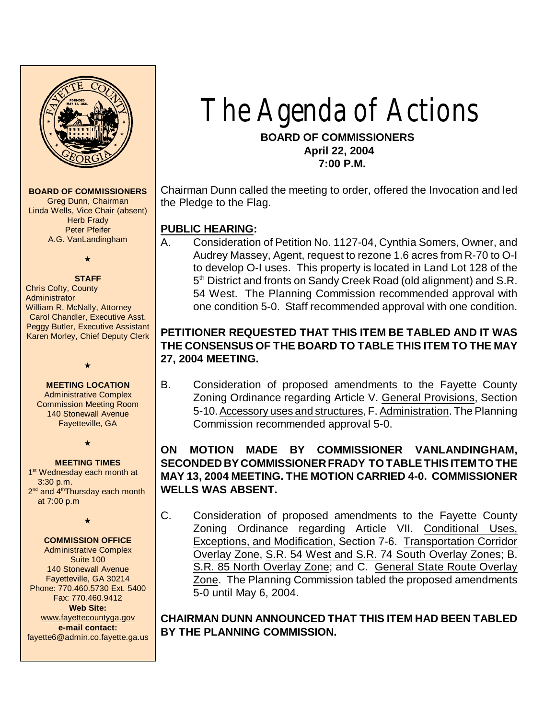

**BOARD OF COMMISSIONERS**

Greg Dunn, Chairman Linda Wells, Vice Chair (absent) **Herb Frady** Peter Pfeifer A.G. VanLandingham

# $\star$

**STAFF** Chris Cofty, County **Administrator** William R. McNally, Attorney Carol Chandler, Executive Asst. Peggy Butler, Executive Assistant Karen Morley, Chief Deputy Clerk

#### **MEETING LOCATION**

 $\star$ 

Administrative Complex Commission Meeting Room 140 Stonewall Avenue Fayetteville, GA

 $\star$ 

**MEETING TIMES** 1<sup>st</sup> Wednesday each month at 3:30 p.m. 2<sup>nd</sup> and 4<sup>th</sup>Thursday each month at 7:00 p.m

 $\star$ 

#### **COMMISSION OFFICE**

Administrative Complex Suite 100 140 Stonewall Avenue Fayetteville, GA 30214 Phone: 770.460.5730 Ext. 5400 Fax: 770.460.9412 **Web Site:** [www.fayettecountyga.gov](http://www.admin.co.fayette.ga.us) **e-mail contact:** fayette6@admin.co.fayette.ga.us

# The Agenda of Actions

 **BOARD OF COMMISSIONERS April 22, 2004 7:00 P.M.**

Chairman Dunn called the meeting to order, offered the Invocation and led the Pledge to the Flag.

# **PUBLIC HEARING:**

A. Consideration of Petition No. 1127-04, Cynthia Somers, Owner, and Audrey Massey, Agent, request to rezone 1.6 acres from R-70 to O-I to develop O-I uses. This property is located in Land Lot 128 of the 5<sup>th</sup> District and fronts on Sandy Creek Road (old alignment) and S.R. 54 West. The Planning Commission recommended approval with one condition 5-0. Staff recommended approval with one condition.

# **PETITIONER REQUESTED THAT THIS ITEM BE TABLED AND IT WAS THE CONSENSUS OF THE BOARD TO TABLE THIS ITEM TO THE MAY 27, 2004 MEETING.**

B. Consideration of proposed amendments to the Fayette County Zoning Ordinance regarding Article V. General Provisions, Section 5-10. Accessory uses and structures, F. Administration. The Planning Commission recommended approval 5-0.

# **ON MOTION MADE BY COMMISSIONER VANLANDINGHAM, SECONDED BY COMMISSIONER FRADY TO TABLE THIS ITEM TO THE MAY 13, 2004 MEETING. THE MOTION CARRIED 4-0. COMMISSIONER WELLS WAS ABSENT.**

C. Consideration of proposed amendments to the Fayette County Zoning Ordinance regarding Article VII. Conditional Uses, Exceptions, and Modification, Section 7-6. Transportation Corridor Overlay Zone, S.R. 54 West and S.R. 74 South Overlay Zones; B. S.R. 85 North Overlay Zone; and C. General State Route Overlay Zone. The Planning Commission tabled the proposed amendments 5-0 until May 6, 2004.

**CHAIRMAN DUNN ANNOUNCED THAT THIS ITEM HAD BEEN TABLED BY THE PLANNING COMMISSION.**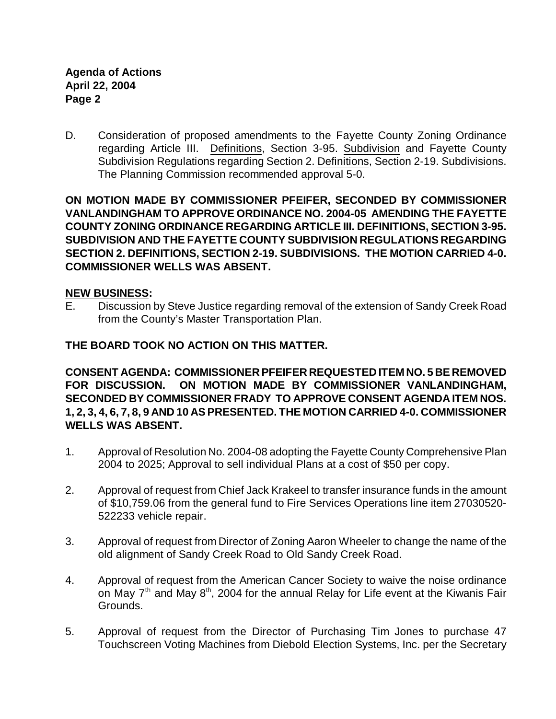D. Consideration of proposed amendments to the Fayette County Zoning Ordinance regarding Article III. Definitions, Section 3-95. Subdivision and Fayette County Subdivision Regulations regarding Section 2. Definitions, Section 2-19. Subdivisions. The Planning Commission recommended approval 5-0.

**ON MOTION MADE BY COMMISSIONER PFEIFER, SECONDED BY COMMISSIONER VANLANDINGHAM TO APPROVE ORDINANCE NO. 2004-05 AMENDING THE FAYETTE COUNTY ZONING ORDINANCE REGARDING ARTICLE III. DEFINITIONS, SECTION 3-95. SUBDIVISION AND THE FAYETTE COUNTY SUBDIVISION REGULATIONS REGARDING SECTION 2. DEFINITIONS, SECTION 2-19. SUBDIVISIONS. THE MOTION CARRIED 4-0. COMMISSIONER WELLS WAS ABSENT.** 

#### **NEW BUSINESS:**

E. Discussion by Steve Justice regarding removal of the extension of Sandy Creek Road from the County's Master Transportation Plan.

#### **THE BOARD TOOK NO ACTION ON THIS MATTER.**

**CONSENT AGENDA: COMMISSIONER PFEIFER REQUESTED ITEM NO. 5 BE REMOVED FOR DISCUSSION. ON MOTION MADE BY COMMISSIONER VANLANDINGHAM, SECONDED BY COMMISSIONER FRADY TO APPROVE CONSENT AGENDA ITEM NOS. 1, 2, 3, 4, 6, 7, 8, 9 AND 10 AS PRESENTED. THE MOTION CARRIED 4-0. COMMISSIONER WELLS WAS ABSENT.**

- 1. Approval of Resolution No. 2004-08 adopting the Fayette County Comprehensive Plan 2004 to 2025; Approval to sell individual Plans at a cost of \$50 per copy.
- 2. Approval of request from Chief Jack Krakeel to transfer insurance funds in the amount of \$10,759.06 from the general fund to Fire Services Operations line item 27030520- 522233 vehicle repair.
- 3. Approval of request from Director of Zoning Aaron Wheeler to change the name of the old alignment of Sandy Creek Road to Old Sandy Creek Road.
- 4. Approval of request from the American Cancer Society to waive the noise ordinance on May  $7<sup>th</sup>$  and May  $8<sup>th</sup>$ , 2004 for the annual Relay for Life event at the Kiwanis Fair Grounds.
- 5. Approval of request from the Director of Purchasing Tim Jones to purchase 47 Touchscreen Voting Machines from Diebold Election Systems, Inc. per the Secretary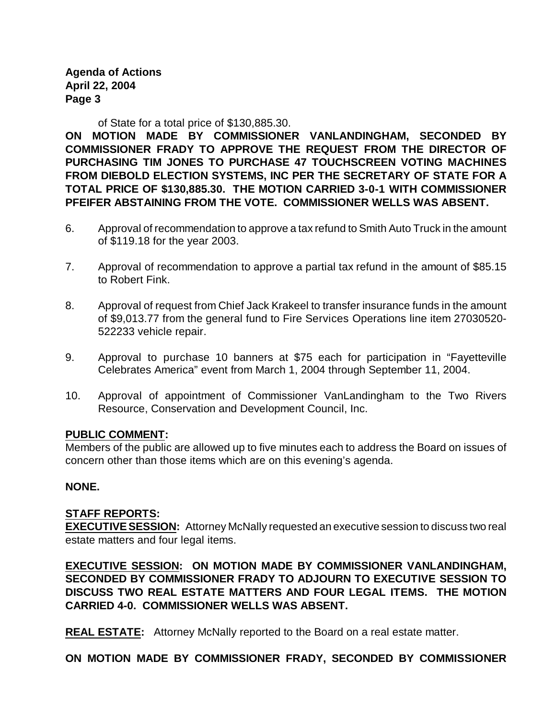**Agenda of Actions April 22, 2004 Page 3**

of State for a total price of \$130,885.30.

**ON MOTION MADE BY COMMISSIONER VANLANDINGHAM, SECONDED BY COMMISSIONER FRADY TO APPROVE THE REQUEST FROM THE DIRECTOR OF PURCHASING TIM JONES TO PURCHASE 47 TOUCHSCREEN VOTING MACHINES FROM DIEBOLD ELECTION SYSTEMS, INC PER THE SECRETARY OF STATE FOR A TOTAL PRICE OF \$130,885.30. THE MOTION CARRIED 3-0-1 WITH COMMISSIONER PFEIFER ABSTAINING FROM THE VOTE. COMMISSIONER WELLS WAS ABSENT.** 

- 6. Approval of recommendation to approve a tax refund to Smith Auto Truck in the amount of \$119.18 for the year 2003.
- 7. Approval of recommendation to approve a partial tax refund in the amount of \$85.15 to Robert Fink.
- 8. Approval of request from Chief Jack Krakeel to transfer insurance funds in the amount of \$9,013.77 from the general fund to Fire Services Operations line item 27030520- 522233 vehicle repair.
- 9. Approval to purchase 10 banners at \$75 each for participation in "Fayetteville Celebrates America" event from March 1, 2004 through September 11, 2004.
- 10. Approval of appointment of Commissioner VanLandingham to the Two Rivers Resource, Conservation and Development Council, Inc.

#### **PUBLIC COMMENT:**

Members of the public are allowed up to five minutes each to address the Board on issues of concern other than those items which are on this evening's agenda.

#### **NONE.**

#### **STAFF REPORTS:**

**EXECUTIVE SESSION:** Attorney McNally requested an executive session to discuss two real estate matters and four legal items.

**EXECUTIVE SESSION: ON MOTION MADE BY COMMISSIONER VANLANDINGHAM, SECONDED BY COMMISSIONER FRADY TO ADJOURN TO EXECUTIVE SESSION TO DISCUSS TWO REAL ESTATE MATTERS AND FOUR LEGAL ITEMS. THE MOTION CARRIED 4-0. COMMISSIONER WELLS WAS ABSENT.** 

**REAL ESTATE:** Attorney McNally reported to the Board on a real estate matter.

**ON MOTION MADE BY COMMISSIONER FRADY, SECONDED BY COMMISSIONER**